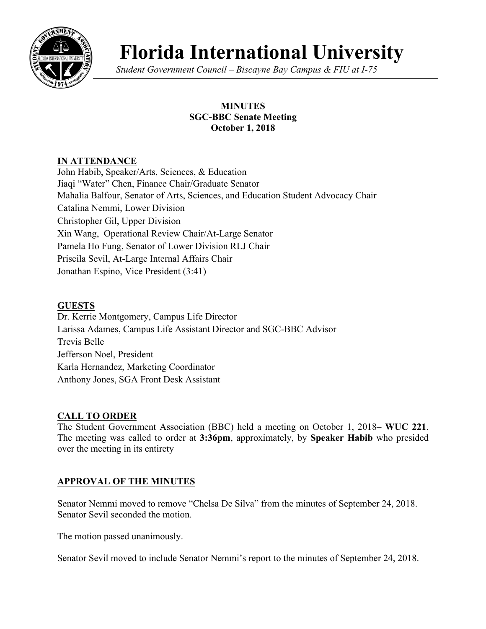

# **Florida International University**

*Student Government Council – Biscayne Bay Campus & FIU at I-75*

## **MINUTES SGC-BBC Senate Meeting October 1, 2018**

# **IN ATTENDANCE**

John Habib, Speaker/Arts, Sciences, & Education Jiaqi "Water" Chen, Finance Chair/Graduate Senator Mahalia Balfour, Senator of Arts, Sciences, and Education Student Advocacy Chair Catalina Nemmi, Lower Division Christopher Gil, Upper Division Xin Wang, Operational Review Chair/At-Large Senator Pamela Ho Fung, Senator of Lower Division RLJ Chair Priscila Sevil, At-Large Internal Affairs Chair Jonathan Espino, Vice President (3:41)

## **GUESTS**

Dr. Kerrie Montgomery, Campus Life Director Larissa Adames, Campus Life Assistant Director and SGC-BBC Advisor Trevis Belle Jefferson Noel, President Karla Hernandez, Marketing Coordinator Anthony Jones, SGA Front Desk Assistant

# **CALL TO ORDER**

The Student Government Association (BBC) held a meeting on October 1, 2018– **WUC 221**. The meeting was called to order at **3:36pm**, approximately, by **Speaker Habib** who presided over the meeting in its entirety

# **APPROVAL OF THE MINUTES**

Senator Nemmi moved to remove "Chelsa De Silva" from the minutes of September 24, 2018. Senator Sevil seconded the motion.

The motion passed unanimously.

Senator Sevil moved to include Senator Nemmi's report to the minutes of September 24, 2018.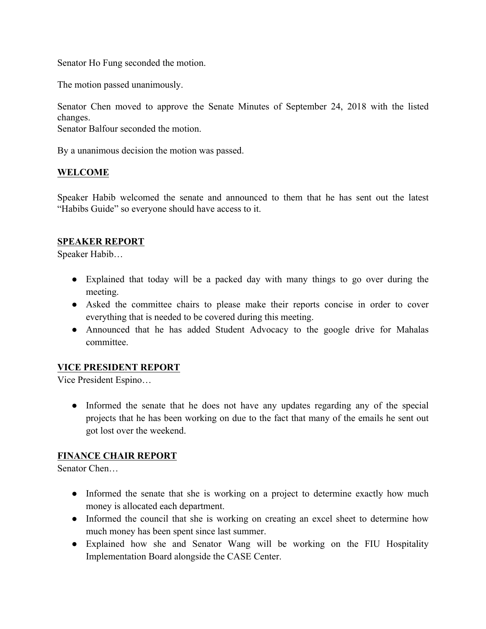Senator Ho Fung seconded the motion.

The motion passed unanimously.

Senator Chen moved to approve the Senate Minutes of September 24, 2018 with the listed changes.

Senator Balfour seconded the motion.

By a unanimous decision the motion was passed.

#### **WELCOME**

Speaker Habib welcomed the senate and announced to them that he has sent out the latest "Habibs Guide" so everyone should have access to it.

#### **SPEAKER REPORT**

Speaker Habib…

- Explained that today will be a packed day with many things to go over during the meeting.
- Asked the committee chairs to please make their reports concise in order to cover everything that is needed to be covered during this meeting.
- Announced that he has added Student Advocacy to the google drive for Mahalas committee.

#### **VICE PRESIDENT REPORT**

Vice President Espino…

• Informed the senate that he does not have any updates regarding any of the special projects that he has been working on due to the fact that many of the emails he sent out got lost over the weekend.

#### **FINANCE CHAIR REPORT**

Senator Chen…

- Informed the senate that she is working on a project to determine exactly how much money is allocated each department.
- Informed the council that she is working on creating an excel sheet to determine how much money has been spent since last summer.
- Explained how she and Senator Wang will be working on the FIU Hospitality Implementation Board alongside the CASE Center.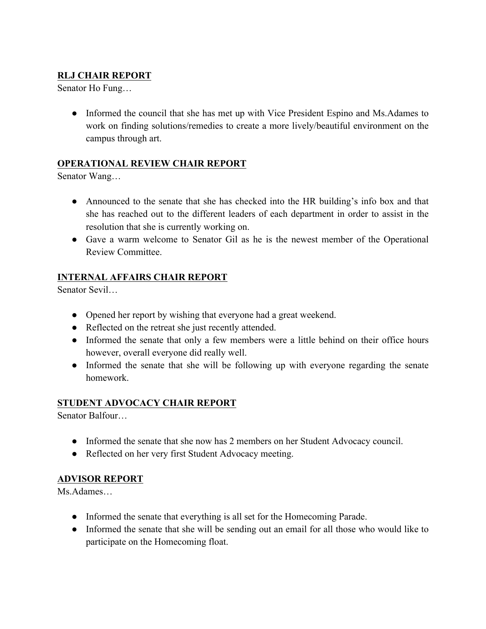# **RLJ CHAIR REPORT**

Senator Ho Fung…

• Informed the council that she has met up with Vice President Espino and Ms.Adames to work on finding solutions/remedies to create a more lively/beautiful environment on the campus through art.

## **OPERATIONAL REVIEW CHAIR REPORT**

Senator Wang…

- Announced to the senate that she has checked into the HR building's info box and that she has reached out to the different leaders of each department in order to assist in the resolution that she is currently working on.
- Gave a warm welcome to Senator Gil as he is the newest member of the Operational Review Committee.

## **INTERNAL AFFAIRS CHAIR REPORT**

Senator Sevil…

- Opened her report by wishing that everyone had a great weekend.
- Reflected on the retreat she just recently attended.
- Informed the senate that only a few members were a little behind on their office hours however, overall everyone did really well.
- Informed the senate that she will be following up with everyone regarding the senate homework.

## **STUDENT ADVOCACY CHAIR REPORT**

Senator Balfour…

- Informed the senate that she now has 2 members on her Student Advocacy council.
- Reflected on her very first Student Advocacy meeting.

## **ADVISOR REPORT**

Ms.Adames…

- Informed the senate that everything is all set for the Homecoming Parade.
- Informed the senate that she will be sending out an email for all those who would like to participate on the Homecoming float.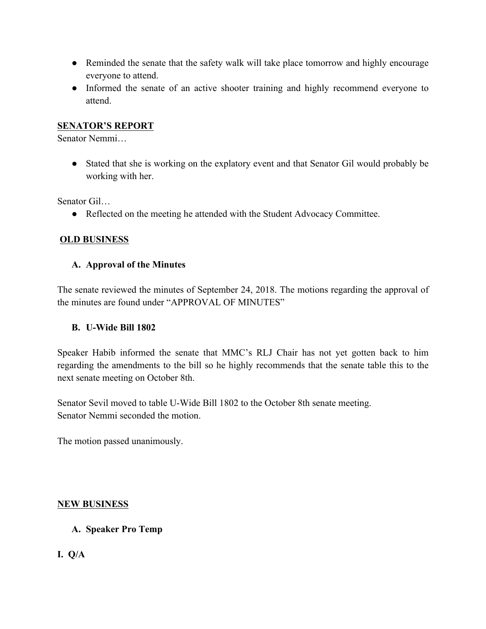- Reminded the senate that the safety walk will take place tomorrow and highly encourage everyone to attend.
- Informed the senate of an active shooter training and highly recommend everyone to attend.

#### **SENATOR'S REPORT**

Senator Nemmi…

● Stated that she is working on the explatory event and that Senator Gil would probably be working with her.

Senator Gil…

• Reflected on the meeting he attended with the Student Advocacy Committee.

#### **OLD BUSINESS**

#### **A. Approval of the Minutes**

The senate reviewed the minutes of September 24, 2018. The motions regarding the approval of the minutes are found under "APPROVAL OF MINUTES"

#### **B. U-Wide Bill 1802**

Speaker Habib informed the senate that MMC's RLJ Chair has not yet gotten back to him regarding the amendments to the bill so he highly recommends that the senate table this to the next senate meeting on October 8th.

Senator Sevil moved to table U-Wide Bill 1802 to the October 8th senate meeting. Senator Nemmi seconded the motion.

The motion passed unanimously.

#### **NEW BUSINESS**

#### **A. Speaker Pro Temp**

**I. Q/A**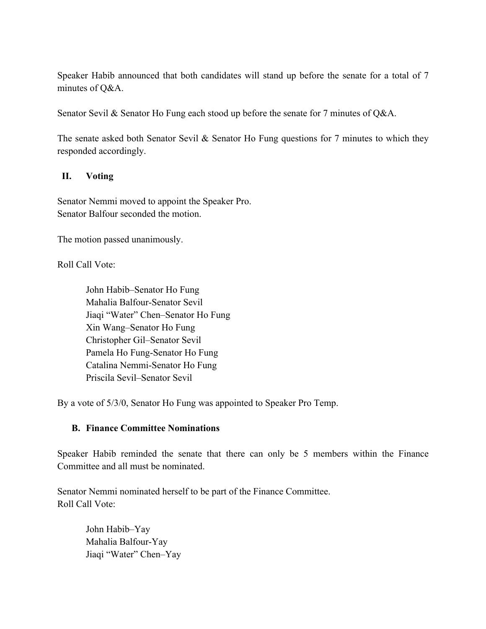Speaker Habib announced that both candidates will stand up before the senate for a total of 7 minutes of Q&A.

Senator Sevil & Senator Ho Fung each stood up before the senate for 7 minutes of Q&A.

The senate asked both Senator Sevil & Senator Ho Fung questions for 7 minutes to which they responded accordingly.

#### **II. Voting**

Senator Nemmi moved to appoint the Speaker Pro. Senator Balfour seconded the motion.

The motion passed unanimously.

Roll Call Vote:

John Habib–Senator Ho Fung Mahalia Balfour-Senator Sevil Jiaqi "Water" Chen–Senator Ho Fung Xin Wang–Senator Ho Fung Christopher Gil–Senator Sevil Pamela Ho Fung-Senator Ho Fung Catalina Nemmi-Senator Ho Fung Priscila Sevil–Senator Sevil

By a vote of 5/3/0, Senator Ho Fung was appointed to Speaker Pro Temp.

## **B. Finance Committee Nominations**

Speaker Habib reminded the senate that there can only be 5 members within the Finance Committee and all must be nominated.

Senator Nemmi nominated herself to be part of the Finance Committee. Roll Call Vote:

> John Habib–Yay Mahalia Balfour-Yay Jiaqi "Water" Chen–Yay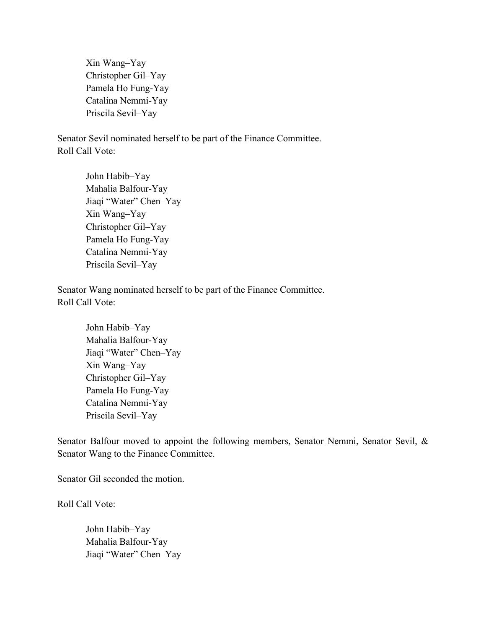Xin Wang–Yay Christopher Gil–Yay Pamela Ho Fung-Yay Catalina Nemmi-Yay Priscila Sevil–Yay

Senator Sevil nominated herself to be part of the Finance Committee. Roll Call Vote:

> John Habib–Yay Mahalia Balfour-Yay Jiaqi "Water" Chen–Yay Xin Wang–Yay Christopher Gil–Yay Pamela Ho Fung-Yay Catalina Nemmi-Yay Priscila Sevil–Yay

Senator Wang nominated herself to be part of the Finance Committee. Roll Call Vote:

> John Habib–Yay Mahalia Balfour-Yay Jiaqi "Water" Chen–Yay Xin Wang–Yay Christopher Gil–Yay Pamela Ho Fung-Yay Catalina Nemmi-Yay Priscila Sevil–Yay

Senator Balfour moved to appoint the following members, Senator Nemmi, Senator Sevil, & Senator Wang to the Finance Committee.

Senator Gil seconded the motion.

Roll Call Vote:

John Habib–Yay Mahalia Balfour-Yay Jiaqi "Water" Chen–Yay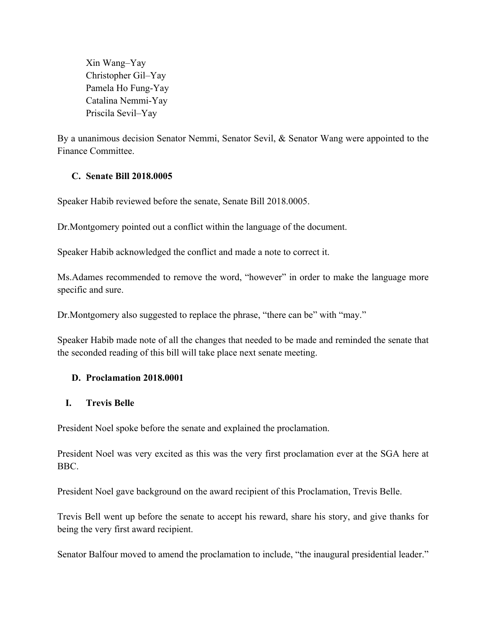Xin Wang–Yay Christopher Gil–Yay Pamela Ho Fung-Yay Catalina Nemmi-Yay Priscila Sevil–Yay

By a unanimous decision Senator Nemmi, Senator Sevil, & Senator Wang were appointed to the Finance Committee.

#### **C. Senate Bill 2018.0005**

Speaker Habib reviewed before the senate, Senate Bill 2018.0005.

Dr.Montgomery pointed out a conflict within the language of the document.

Speaker Habib acknowledged the conflict and made a note to correct it.

Ms. Adames recommended to remove the word, "however" in order to make the language more specific and sure.

Dr.Montgomery also suggested to replace the phrase, "there can be" with "may."

Speaker Habib made note of all the changes that needed to be made and reminded the senate that the seconded reading of this bill will take place next senate meeting.

#### **D. Proclamation 2018.0001**

#### **I. Trevis Belle**

President Noel spoke before the senate and explained the proclamation.

President Noel was very excited as this was the very first proclamation ever at the SGA here at BBC.

President Noel gave background on the award recipient of this Proclamation, Trevis Belle.

Trevis Bell went up before the senate to accept his reward, share his story, and give thanks for being the very first award recipient.

Senator Balfour moved to amend the proclamation to include, "the inaugural presidential leader."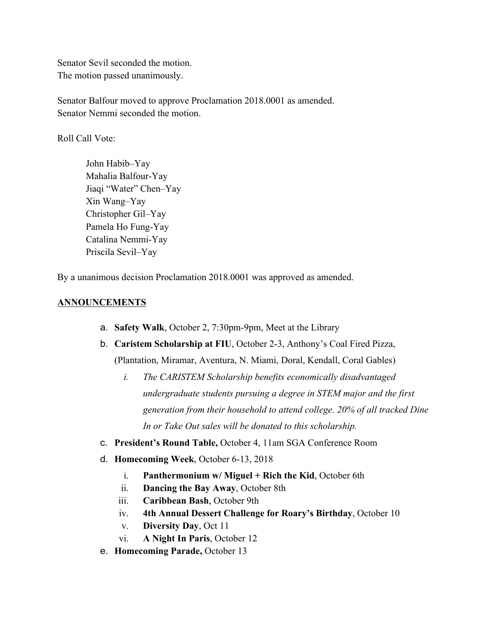Senator Sevil seconded the motion. The motion passed unanimously.

Senator Balfour moved to approve Proclamation 2018.0001 as amended. Senator Nemmi seconded the motion.

Roll Call Vote:

John Habib–Yay Mahalia Balfour-Yay Jiaqi "Water" Chen–Yay Xin Wang–Yay Christopher Gil–Yay Pamela Ho Fung-Yay Catalina Nemmi-Yay Priscila Sevil–Yay

By a unanimous decision Proclamation 2018.0001 was approved as amended.

#### **ANNOUNCEMENTS**

- a. **Safety Walk**, October 2, 7:30pm-9pm, Meet at the Library
- b. **Caristem Scholarship at FIU**, October 2-3, Anthony's Coal Fired Pizza, (Plantation, Miramar, Aventura, N. Miami, Doral, Kendall, Coral Gables)
	- *i. The CARISTEM Scholarship benefits economically disadvantaged undergraduate students pursuing a degree in STEM major and the first generation from their household to attend college. 20% of all tracked Dine In or Take Out sales will be donated to this scholarship.*
- c. **President's Round Table,** October 4, 11am SGA Conference Room
- d. **Homecoming Week**, October 6-13, 2018
	- i. **Panthermonium w/ Miguel + Rich the Kid**, October 6th
	- ii. **Dancing the Bay Away**, October 8th
	- iii. **Caribbean Bash**, October 9th
	- iv. **4th Annual Dessert Challenge for Roary's Birthday**, October 10
	- v. **Diversity Day**, Oct 11
	- vi. **A Night In Paris**, October 12
- e. **Homecoming Parade,** October 13